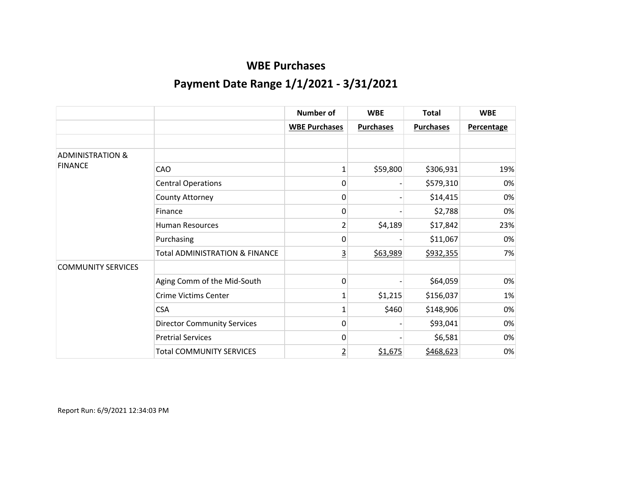|                             |                                           | Number of            | <b>WBE</b>       | <b>Total</b>     | <b>WBE</b>        |
|-----------------------------|-------------------------------------------|----------------------|------------------|------------------|-------------------|
|                             |                                           | <b>WBE Purchases</b> | <b>Purchases</b> | <b>Purchases</b> | <b>Percentage</b> |
|                             |                                           |                      |                  |                  |                   |
| <b>ADMINISTRATION &amp;</b> |                                           |                      |                  |                  |                   |
| <b>FINANCE</b>              | <b>CAO</b>                                | 1                    | \$59,800         | \$306,931        | 19%               |
|                             | <b>Central Operations</b>                 | 0                    |                  | \$579,310        | 0%                |
|                             | County Attorney                           | $\mathbf 0$          |                  | \$14,415         | 0%                |
|                             | Finance                                   | $\mathbf 0$          |                  | \$2,788          | 0%                |
|                             | <b>Human Resources</b>                    | 2                    | \$4,189          | \$17,842         | 23%               |
|                             | Purchasing                                | 0                    |                  | \$11,067         | 0%                |
|                             | <b>Total ADMINISTRATION &amp; FINANCE</b> | $\overline{3}$       | \$63,989         | \$932,355        | 7%                |
| <b>COMMUNITY SERVICES</b>   |                                           |                      |                  |                  |                   |
|                             | Aging Comm of the Mid-South               | 0                    |                  | \$64,059         | 0%                |
|                             | <b>Crime Victims Center</b>               |                      | \$1,215          | \$156,037        | 1%                |
|                             | <b>CSA</b>                                |                      | \$460            | \$148,906        | 0%                |
|                             | <b>Director Community Services</b>        | 0                    |                  | \$93,041         | 0%                |
|                             | <b>Pretrial Services</b>                  | 0                    |                  | \$6,581          | 0%                |
|                             | <b>Total COMMUNITY SERVICES</b>           | $\overline{2}$       | \$1,675          | \$468,623        | 0%                |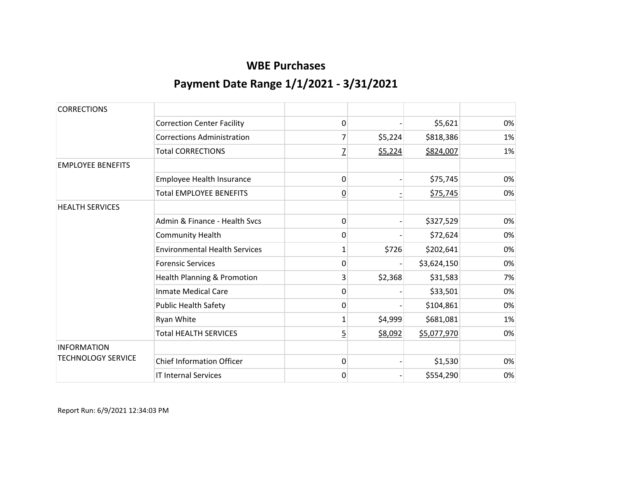| <b>CORRECTIONS</b>        |                                      |                |         |             |    |
|---------------------------|--------------------------------------|----------------|---------|-------------|----|
|                           | <b>Correction Center Facility</b>    | 0              |         | \$5,621     | 0% |
|                           | <b>Corrections Administration</b>    | 7              | \$5,224 | \$818,386   | 1% |
|                           | <b>Total CORRECTIONS</b>             | $\overline{1}$ | \$5,224 | \$824,007   | 1% |
| <b>EMPLOYEE BENEFITS</b>  |                                      |                |         |             |    |
|                           | Employee Health Insurance            | 0              |         | \$75,745    | 0% |
|                           | <b>Total EMPLOYEE BENEFITS</b>       | $\overline{0}$ |         | \$75,745    | 0% |
| <b>HEALTH SERVICES</b>    |                                      |                |         |             |    |
|                           | Admin & Finance - Health Sycs        | 0              |         | \$327,529   | 0% |
|                           | <b>Community Health</b>              | 0              |         | \$72,624    | 0% |
|                           | <b>Environmental Health Services</b> | 1              | \$726   | \$202,641   | 0% |
|                           | <b>Forensic Services</b>             | $\mathbf 0$    |         | \$3,624,150 | 0% |
|                           | Health Planning & Promotion          | 3              | \$2,368 | \$31,583    | 7% |
|                           | <b>Inmate Medical Care</b>           | 0              |         | \$33,501    | 0% |
|                           | <b>Public Health Safety</b>          | 0              |         | \$104,861   | 0% |
|                           | Ryan White                           | 1              | \$4,999 | \$681,081   | 1% |
|                           | <b>Total HEALTH SERVICES</b>         | $\overline{5}$ | \$8,092 | \$5,077,970 | 0% |
| <b>INFORMATION</b>        |                                      |                |         |             |    |
| <b>TECHNOLOGY SERVICE</b> | <b>Chief Information Officer</b>     | $\mathbf 0$    |         | \$1,530     | 0% |
|                           | <b>IT Internal Services</b>          | 0              |         | \$554,290   | 0% |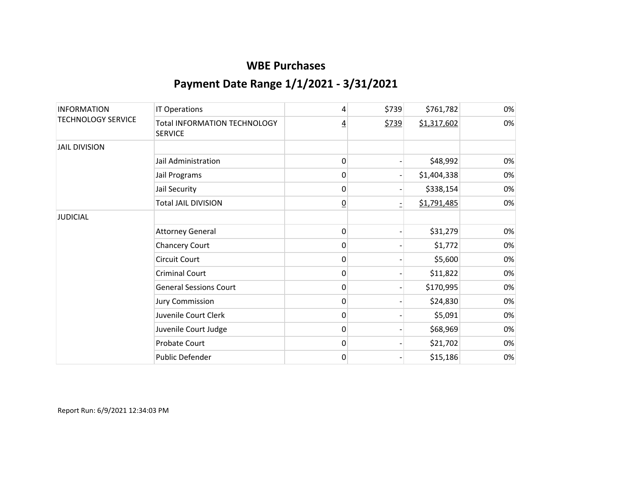| <b>INFORMATION</b><br><b>TECHNOLOGY SERVICE</b> | IT Operations                                         | 4               | \$739 | \$761,782   | 0% |
|-------------------------------------------------|-------------------------------------------------------|-----------------|-------|-------------|----|
|                                                 | <b>Total INFORMATION TECHNOLOGY</b><br><b>SERVICE</b> | <u>4</u>        | \$739 | \$1,317,602 | 0% |
| <b>JAIL DIVISION</b>                            |                                                       |                 |       |             |    |
|                                                 | Jail Administration                                   | 0               |       | \$48,992    | 0% |
|                                                 | Jail Programs                                         | $\mathbf 0$     |       | \$1,404,338 | 0% |
|                                                 | Jail Security                                         | $\mathbf 0$     |       | \$338,154   | 0% |
|                                                 | <b>Total JAIL DIVISION</b>                            | $\underline{0}$ |       | \$1,791,485 | 0% |
| <b>JUDICIAL</b>                                 |                                                       |                 |       |             |    |
|                                                 | <b>Attorney General</b>                               | 0               |       | \$31,279    | 0% |
|                                                 | <b>Chancery Court</b>                                 | $\mathbf 0$     |       | \$1,772     | 0% |
|                                                 | Circuit Court                                         | 0               |       | \$5,600     | 0% |
|                                                 | <b>Criminal Court</b>                                 | 0               |       | \$11,822    | 0% |
|                                                 | <b>General Sessions Court</b>                         | 0               |       | \$170,995   | 0% |
|                                                 | <b>Jury Commission</b>                                | 0               |       | \$24,830    | 0% |
|                                                 | Juvenile Court Clerk                                  | 0               |       | \$5,091     | 0% |
|                                                 | Juvenile Court Judge                                  | 0               |       | \$68,969    | 0% |
|                                                 | <b>Probate Court</b>                                  | 0               |       | \$21,702    | 0% |
|                                                 | Public Defender                                       | 0               |       | \$15,186    | 0% |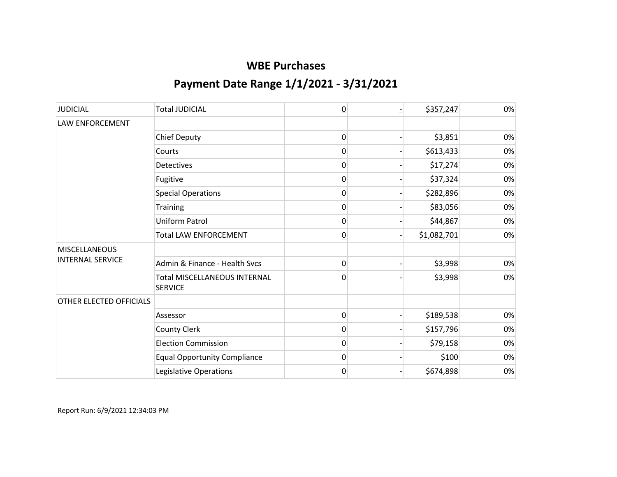| <b>JUDICIAL</b>                                 | <b>Total JUDICIAL</b>                                 | $\overline{0}$  | \$357,247   | 0% |
|-------------------------------------------------|-------------------------------------------------------|-----------------|-------------|----|
| <b>LAW ENFORCEMENT</b>                          |                                                       |                 |             |    |
|                                                 | <b>Chief Deputy</b>                                   | 0               | \$3,851     | 0% |
|                                                 | Courts                                                | 0               | \$613,433   | 0% |
|                                                 | <b>Detectives</b>                                     | 0               | \$17,274    | 0% |
|                                                 | Fugitive                                              | 0               | \$37,324    | 0% |
|                                                 | <b>Special Operations</b>                             | 0               | \$282,896   | 0% |
|                                                 | Training                                              | 0               | \$83,056    | 0% |
|                                                 | <b>Uniform Patrol</b>                                 | 0               | \$44,867    | 0% |
|                                                 | <b>Total LAW ENFORCEMENT</b>                          | <u>0</u>        | \$1,082,701 | 0% |
| <b>MISCELLANEOUS</b><br><b>INTERNAL SERVICE</b> |                                                       |                 |             |    |
|                                                 | Admin & Finance - Health Sycs                         | 0               | \$3,998     | 0% |
|                                                 | <b>Total MISCELLANEOUS INTERNAL</b><br><b>SERVICE</b> | $\underline{0}$ | \$3,998     | 0% |
| OTHER ELECTED OFFICIALS                         |                                                       |                 |             |    |
|                                                 | Assessor                                              | 0               | \$189,538   | 0% |
|                                                 | County Clerk                                          | 0               | \$157,796   | 0% |
|                                                 | <b>Election Commission</b>                            | 0               | \$79,158    | 0% |
|                                                 | <b>Equal Opportunity Compliance</b>                   | 0               | \$100       | 0% |
|                                                 | Legislative Operations                                | 0               | \$674,898   | 0% |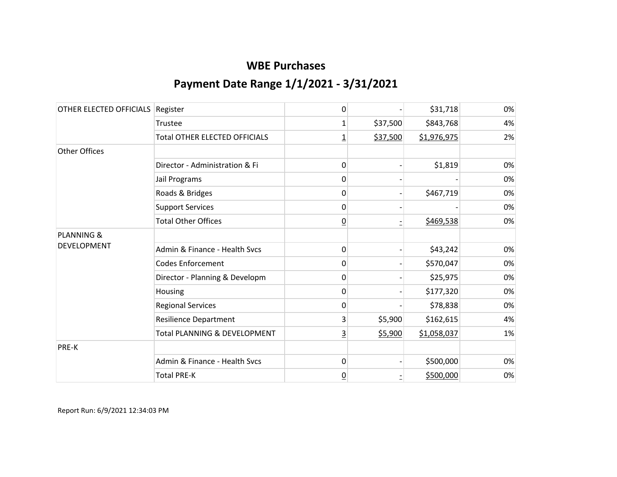| OTHER ELECTED OFFICIALS | Register                             | 0               |          | \$31,718    | 0% |
|-------------------------|--------------------------------------|-----------------|----------|-------------|----|
|                         | Trustee                              | 1               | \$37,500 | \$843,768   | 4% |
|                         | <b>Total OTHER ELECTED OFFICIALS</b> | <u>1</u>        | \$37,500 | \$1,976,975 | 2% |
| <b>Other Offices</b>    |                                      |                 |          |             |    |
|                         | Director - Administration & Fi       | 0               |          | \$1,819     | 0% |
|                         | Jail Programs                        | 0               |          |             | 0% |
|                         | Roads & Bridges                      | 0               |          | \$467,719   | 0% |
|                         | <b>Support Services</b>              | 0               |          |             | 0% |
|                         | <b>Total Other Offices</b>           | $\overline{0}$  |          | \$469,538   | 0% |
| <b>PLANNING &amp;</b>   |                                      |                 |          |             |    |
| <b>DEVELOPMENT</b>      | Admin & Finance - Health Svcs        | 0               |          | \$43,242    | 0% |
|                         | <b>Codes Enforcement</b>             | $\mathbf{0}$    |          | \$570,047   | 0% |
|                         | Director - Planning & Developm       | 0               |          | \$25,975    | 0% |
|                         | Housing                              | 0               |          | \$177,320   | 0% |
|                         | <b>Regional Services</b>             | 0               |          | \$78,838    | 0% |
|                         | <b>Resilience Department</b>         | 3               | \$5,900  | \$162,615   | 4% |
|                         | Total PLANNING & DEVELOPMENT         | <u>3</u>        | \$5,900  | \$1,058,037 | 1% |
| PRE-K                   |                                      |                 |          |             |    |
|                         | Admin & Finance - Health Svcs        | $\mathbf{0}$    |          | \$500,000   | 0% |
|                         | <b>Total PRE-K</b>                   | $\underline{0}$ |          | \$500,000   | 0% |